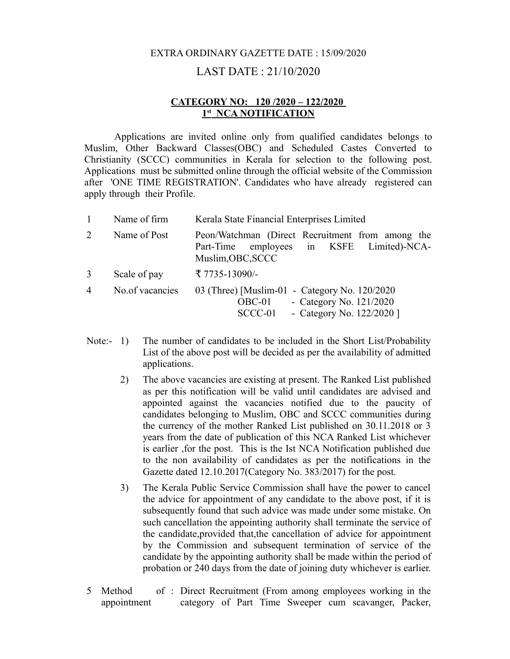## EXTRA ORDINARY GAZETTE DATE : 15/09/2020

## LAST DATE : 21/10/2020

## **CATEGORY NO: 120 /2020 – 122/2020 1 st NCA NOTIFICATION**

Applications are invited online only from qualified candidates belongs to Muslim, Other Backward Classes(OBC) and Scheduled Castes Converted to Christianity (SCCC) communities in Kerala for selection to the following post. Applications must be submitted online through the official website of the Commission after 'ONE TIME REGISTRATION'. Candidates who have already registered can apply through their Profile.

|                             | Name of firm    | Kerala State Financial Enterprises Limited                                                                                     |  |  |  |  |  |
|-----------------------------|-----------------|--------------------------------------------------------------------------------------------------------------------------------|--|--|--|--|--|
| $\mathcal{D}_{\mathcal{L}}$ | Name of Post    | Peon/Watchman (Direct Recruitment from among the<br>Part-Time employees in KSFE Limited)-NCA-<br>Muslim, OBC, SCCC             |  |  |  |  |  |
| $\mathcal{E}$               | Scale of pay    | ₹ 7735-13090/-                                                                                                                 |  |  |  |  |  |
| $\overline{4}$              | No.of vacancies | 03 (Three) [Muslim-01 - Category No. 120/2020<br>- Category No. $121/2020$<br>$OBC-01$<br>- Category No. 122/2020 ]<br>SCCC-01 |  |  |  |  |  |

- Note:- 1) The number of candidates to be included in the Short List/Probability List of the above post will be decided as per the availability of admitted applications.
	- 2) The above vacancies are existing at present. The Ranked List published as per this notification will be valid until candidates are advised and appointed against the vacancies notified due to the paucity of candidates belonging to Muslim, OBC and SCCC communities during the currency of the mother Ranked List published on 30.11.2018 or 3 years from the date of publication of this NCA Ranked List whichever is earlier ,for the post. This is the Ist NCA Notification published due to the non availability of candidates as per the notifications in the Gazette dated 12.10.2017(Category No. 383/2017) for the post.
	- 3) The Kerala Public Service Commission shall have the power to cancel the advice for appointment of any candidate to the above post, if it is subsequently found that such advice was made under some mistake. On such cancellation the appointing authority shall terminate the service of the candidate,provided that,the cancellation of advice for appointment by the Commission and subsequent termination of service of the candidate by the appointing authority shall be made within the period of probation or 240 days from the date of joining duty whichever is earlier.
- 5 Method appointment : Direct Recruitment (From among employees working in the category of Part Time Sweeper cum scavanger, Packer,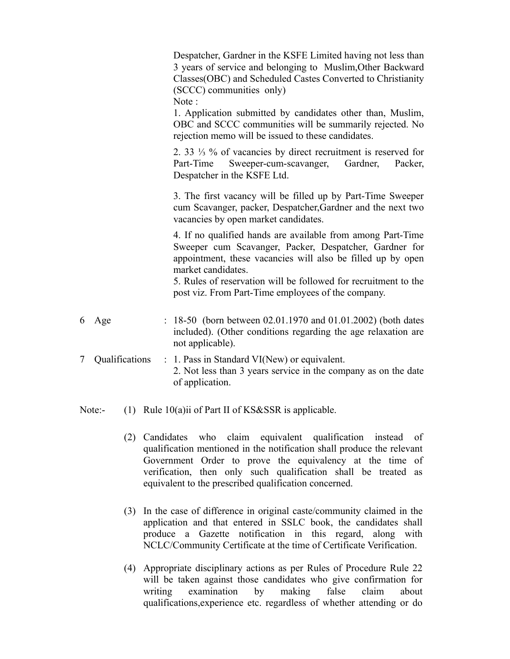|   |                | Despatcher, Gardner in the KSFE Limited having not less than<br>3 years of service and belonging to Muslim, Other Backward<br>Classes(OBC) and Scheduled Castes Converted to Christianity<br>(SCCC) communities only)<br>Note: |
|---|----------------|--------------------------------------------------------------------------------------------------------------------------------------------------------------------------------------------------------------------------------|
|   |                | 1. Application submitted by candidates other than, Muslim,<br>OBC and SCCC communities will be summarily rejected. No<br>rejection memo will be issued to these candidates.                                                    |
|   |                | 2. 33 $\frac{1}{3}$ % of vacancies by direct recruitment is reserved for<br>Sweeper-cum-scavanger,<br>Gardner,<br>Part-Time<br>Packer,<br>Despatcher in the KSFE Ltd.                                                          |
|   |                | 3. The first vacancy will be filled up by Part-Time Sweeper<br>cum Scavanger, packer, Despatcher, Gardner and the next two<br>vacancies by open market candidates.                                                             |
|   |                | 4. If no qualified hands are available from among Part-Time<br>Sweeper cum Scavanger, Packer, Despatcher, Gardner for<br>appointment, these vacancies will also be filled up by open<br>market candidates.                     |
|   |                | 5. Rules of reservation will be followed for recruitment to the<br>post viz. From Part-Time employees of the company.                                                                                                          |
| 6 | Age            | : $18-50$ (born between 02.01.1970 and 01.01.2002) (both dates<br>included). (Other conditions regarding the age relaxation are<br>not applicable).                                                                            |
| 7 | Qualifications | $\therefore$ 1. Pass in Standard VI(New) or equivalent.<br>2. Not less than 3 years service in the company as on the date<br>of application.                                                                                   |
|   |                |                                                                                                                                                                                                                                |

- Note:- (1) Rule 10(a)ii of Part II of KS&SSR is applicable.
	- (2) Candidates who claim equivalent qualification instead of qualification mentioned in the notification shall produce the relevant Government Order to prove the equivalency at the time of verification, then only such qualification shall be treated as equivalent to the prescribed qualification concerned.
	- (3) In the case of difference in original caste/community claimed in the application and that entered in SSLC book, the candidates shall produce a Gazette notification in this regard, along with NCLC/Community Certificate at the time of Certificate Verification.
	- (4) Appropriate disciplinary actions as per Rules of Procedure Rule 22 will be taken against those candidates who give confirmation for writing examination by making false claim about qualifications,experience etc. regardless of whether attending or do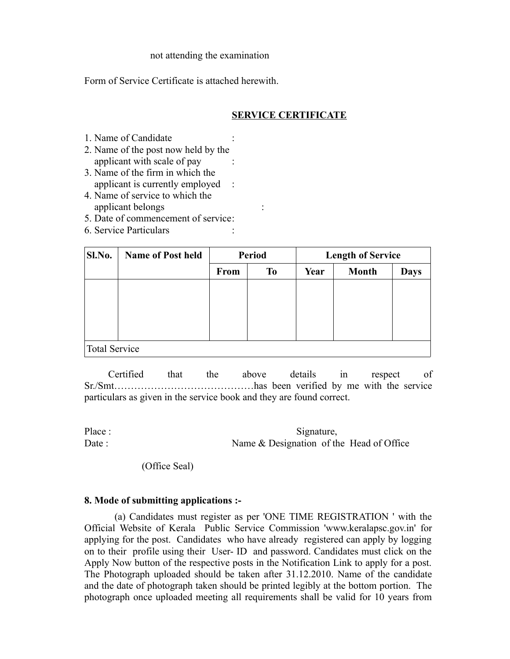#### not attending the examination

Form of Service Certificate is attached herewith.

# **SERVICE CERTIFICATE**

- 1. Name of Candidate :
- 2. Name of the post now held by the applicant with scale of pay :
- 3. Name of the firm in which the applicant is currently employed :
- 4. Name of service to which the applicant belongs :
- 5. Date of commencement of service:
- 6. Service Particulars :

| Sl.No.               | <b>Name of Post held</b> | <b>Period</b> |           | <b>Length of Service</b> |              |             |  |  |  |
|----------------------|--------------------------|---------------|-----------|--------------------------|--------------|-------------|--|--|--|
|                      |                          | <b>From</b>   | <b>To</b> | Year                     | <b>Month</b> | <b>Days</b> |  |  |  |
|                      |                          |               |           |                          |              |             |  |  |  |
|                      |                          |               |           |                          |              |             |  |  |  |
|                      |                          |               |           |                          |              |             |  |  |  |
|                      |                          |               |           |                          |              |             |  |  |  |
| <b>Total Service</b> |                          |               |           |                          |              |             |  |  |  |

 Certified that the above details in respect of Sr./Smt……………………………………has been verified by me with the service particulars as given in the service book and they are found correct.

Place : Signature, Date : Name & Designation of the Head of Office

(Office Seal)

## **8. Mode of submitting applications :-**

 (a) Candidates must register as per 'ONE TIME REGISTRATION ' with the Official Website of Kerala Public Service Commission 'www.keralapsc.gov.in' for applying for the post. Candidates who have already registered can apply by logging on to their profile using their User- ID and password. Candidates must click on the Apply Now button of the respective posts in the Notification Link to apply for a post. The Photograph uploaded should be taken after 31.12.2010. Name of the candidate and the date of photograph taken should be printed legibly at the bottom portion. The photograph once uploaded meeting all requirements shall be valid for 10 years from